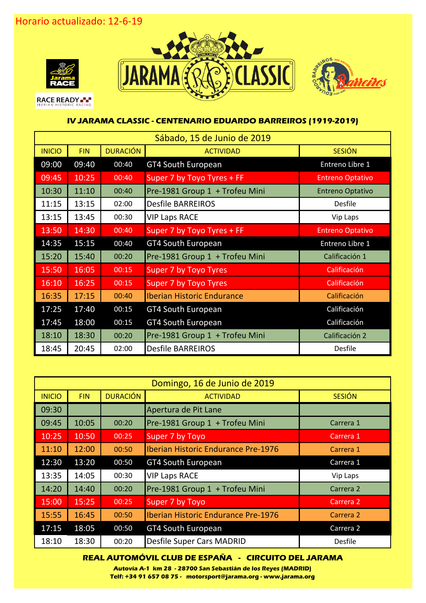

**RACE READY** 





## **IV JARAMA CLASSIC - CENTENARIO EDUARDO BARREIROS (1919-2019)**

| Sábado, 15 de Junio de 2019 |            |                 |                                   |                         |  |  |
|-----------------------------|------------|-----------------|-----------------------------------|-------------------------|--|--|
| <b>INICIO</b>               | <b>FIN</b> | <b>DURACIÓN</b> | <b>ACTIVIDAD</b>                  | <b>SESIÓN</b>           |  |  |
| 09:00                       | 09:40      | 00:40           | <b>GT4 South European</b>         | Entreno Libre 1         |  |  |
| 09:45                       | 10:25      | 00:40           | Super 7 by Toyo Tyres + FF        | <b>Entreno Optativo</b> |  |  |
| 10:30                       | 11:10      | 00:40           | Pre-1981 Group 1 + Trofeu Mini    | <b>Entreno Optativo</b> |  |  |
| 11:15                       | 13:15      | 02:00           | <b>Desfile BARREIROS</b>          | <b>Desfile</b>          |  |  |
| 13:15                       | 13:45      | 00:30           | <b>VIP Laps RACE</b>              | Vip Laps                |  |  |
| 13:50                       | 14:30      | 00:40           | Super 7 by Toyo Tyres + FF        | <b>Entreno Optativo</b> |  |  |
| 14:35                       | 15:15      | 00:40           | <b>GT4 South European</b>         | Entreno Libre 1         |  |  |
| 15:20                       | 15:40      | 00:20           | Pre-1981 Group 1 + Trofeu Mini    | Calificación 1          |  |  |
| 15:50                       | 16:05      | 00:15           | <b>Super 7 by Toyo Tyres</b>      | Calificación            |  |  |
| 16:10                       | 16:25      | 00:15           | Super 7 by Toyo Tyres             | Calificación            |  |  |
| 16:35                       | 17:15      | 00:40           | <b>Iberian Historic Endurance</b> | Calificación            |  |  |
| 17:25                       | 17:40      | 00:15           | <b>GT4 South European</b>         | Calificación            |  |  |
| 17:45                       | 18:00      | 00:15           | <b>GT4 South European</b>         | Calificación            |  |  |
| 18:10                       | 18:30      | 00:20           | Pre-1981 Group 1 + Trofeu Mini    | Calificación 2          |  |  |
| 18:45                       | 20:45      | 02:00           | <b>Desfile BARREIROS</b>          | <b>Desfile</b>          |  |  |

| Domingo, 16 de Junio de 2019 |            |                                     |                                     |                      |  |  |  |
|------------------------------|------------|-------------------------------------|-------------------------------------|----------------------|--|--|--|
| <b>INICIO</b>                | <b>FIN</b> | <b>DURACIÓN</b><br><b>ACTIVIDAD</b> |                                     | <b>SESIÓN</b>        |  |  |  |
| 09:30                        |            |                                     | Apertura de Pit Lane                |                      |  |  |  |
| 09:45                        | 10:05      | 00:20                               | Pre-1981 Group 1 + Trofeu Mini      | Carrera 1            |  |  |  |
| 10:25                        | 10:50      | 00:25                               | Super 7 by Toyo                     | Carrera 1            |  |  |  |
| 11:10                        | 12:00      | 00:50                               | Iberian Historic Endurance Pre-1976 | Carrera 1            |  |  |  |
| 12:30                        | 13:20      | 00:50                               | <b>GT4 South European</b>           | Carrera 1            |  |  |  |
| 13:35                        | 14:05      | 00:30                               | <b>VIP Laps RACE</b>                | Vip Laps             |  |  |  |
| 14:20                        | 14:40      | 00:20                               | Pre-1981 Group 1 + Trofeu Mini      | Carrera 2            |  |  |  |
| 15:00                        | 15:25      | 00:25                               | Super 7 by Toyo                     | Carrera <sub>2</sub> |  |  |  |
| 15:55                        | 16:45      | 00:50                               | Iberian Historic Endurance Pre-1976 | Carrera 2            |  |  |  |
| 17:15                        | 18:05      | 00:50                               | <b>GT4 South European</b>           | Carrera 2            |  |  |  |
| 18:10                        | 18:30      | 00:20                               | <b>Desfile Super Cars MADRID</b>    | <b>Desfile</b>       |  |  |  |

## **REAL AUTOMÓVIL CLUB DE ESPAÑA - CIRCUITO DEL JARAMA**

**Autovía A-1 km 28 - 28700 San Sebastián de los Reyes (MADRID) Telf: +34 91 657 08 75 - motorsport@jarama.org - www.jarama.org**